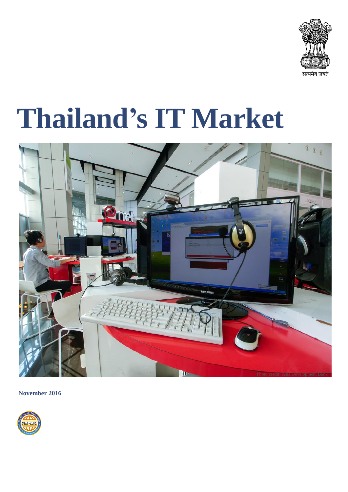

# **Thailand's IT Market**



**November 2016**

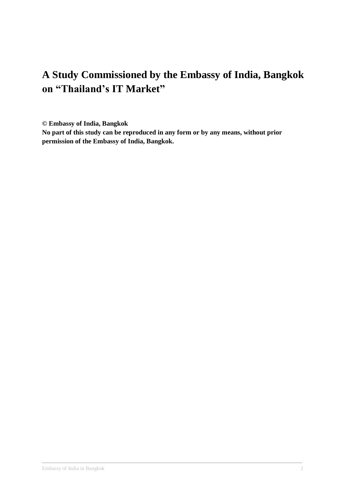## **A Study Commissioned by the Embassy of India, Bangkok on "Thailand's IT Market"**

**© Embassy of India, Bangkok** 

**No part of this study can be reproduced in any form or by any means, without prior permission of the Embassy of India, Bangkok.**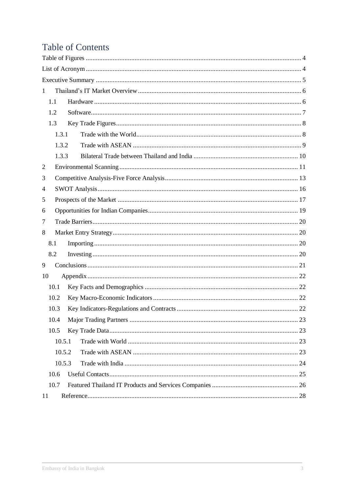## **Table of Contents**

| 1      |  |
|--------|--|
| 1.1    |  |
| 1.2    |  |
| 1.3    |  |
| 1.3.1  |  |
| 1.3.2  |  |
| 1.3.3  |  |
| 2      |  |
| 3      |  |
| 4      |  |
| 5      |  |
| 6      |  |
| 7      |  |
| 8      |  |
| 8.1    |  |
| 8.2    |  |
| 9      |  |
| 10     |  |
| 10.1   |  |
| 10.2   |  |
| 10.3   |  |
| 10.4   |  |
| 10.5   |  |
| 10.5.1 |  |
| 10.5.2 |  |
| 10.5.3 |  |
| 10.6   |  |
| 10.7   |  |
| 11     |  |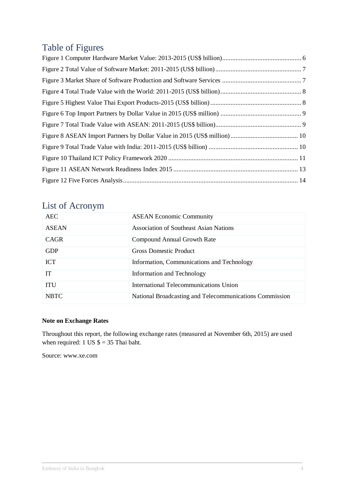## <span id="page-3-0"></span>Table of Figures

## <span id="page-3-1"></span>List of Acronym

| AEC.         | <b>ASEAN Economic Community</b>                         |
|--------------|---------------------------------------------------------|
| <b>ASEAN</b> | Association of Southeast Asian Nations                  |
| <b>CAGR</b>  | Compound Annual Growth Rate                             |
| <b>GDP</b>   | <b>Gross Domestic Product</b>                           |
| <b>ICT</b>   | Information, Communications and Technology              |
| IТ           | Information and Technology                              |
| <b>ITU</b>   | International Telecommunications Union                  |
| <b>NBTC</b>  | National Broadcasting and Telecommunications Commission |

#### **Note on Exchange Rates**

Throughout this report, the following exchange rates (measured at November 6th, 2015) are used when required: 1 US  $\$ = 35$  Thai baht.

Source: www.xe.com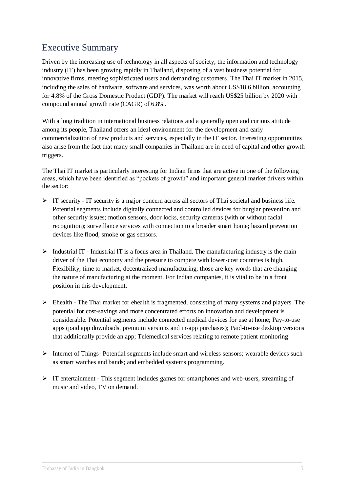## <span id="page-4-0"></span>Executive Summary

Driven by the increasing use of technology in all aspects of society, the information and technology industry (IT) has been growing rapidly in Thailand, disposing of a vast business potential for innovative firms, meeting sophisticated users and demanding customers. The Thai IT market in 2015, including the sales of hardware, software and services, was worth about US\$18.6 billion, accounting for 4.8% of the Gross Domestic Product (GDP). The market will reach US\$25 billion by 2020 with compound annual growth rate (CAGR) of 6.8%.

With a long tradition in international business relations and a generally open and curious attitude among its people, Thailand offers an ideal environment for the development and early commercialization of new products and services, especially in the IT sector. Interesting opportunities also arise from the fact that many small companies in Thailand are in need of capital and other growth triggers.

The Thai IT market is particularly interesting for Indian firms that are active in one of the following areas, which have been identified as "pockets of growth" and important general market drivers within the sector:

- $\triangleright$  IT security IT security is a major concern across all sectors of Thai societal and business life. Potential segments include digitally connected and controlled devices for burglar prevention and other security issues; motion sensors, door locks, security cameras (with or without facial recognition); surveillance services with connection to a broader smart home; hazard prevention devices like flood, smoke or gas sensors.
- $\triangleright$  Industrial IT Industrial IT is a focus area in Thailand. The manufacturing industry is the main driver of the Thai economy and the pressure to compete with lower-cost countries is high. Flexibility, time to market, decentralized manufacturing; those are key words that are changing the nature of manufacturing at the moment. For Indian companies, it is vital to be in a front position in this development.
- $\triangleright$  Ehealth The Thai market for ehealth is fragmented, consisting of many systems and players. The potential for cost-savings and more concentrated efforts on innovation and development is considerable. Potential segments include connected medical devices for use at home; Pay-to-use apps (paid app downloads, premium versions and in-app purchases); Paid-to-use desktop versions that additionally provide an app; Telemedical services relating to remote patient monitoring
- $\triangleright$  Internet of Things-Potential segments include smart and wireless sensors; wearable devices such as smart watches and bands; and embedded systems programming.
- $\triangleright$  IT entertainment This segment includes games for smartphones and web-users, streaming of music and video, TV on demand.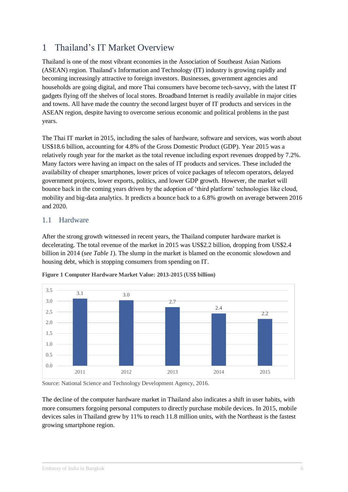## <span id="page-5-0"></span>1 Thailand's IT Market Overview

Thailand is one of the most vibrant economies in the Association of Southeast Asian Nations (ASEAN) region. Thailand's Information and Technology (IT) industry is growing rapidly and becoming increasingly attractive to foreign investors. Businesses, government agencies and households are going digital, and more Thai consumers have become tech-savvy, with the latest IT gadgets flying off the shelves of local stores. Broadband Internet is readily available in major cities and towns. All have made the country the second largest buyer of IT products and services in the ASEAN region, despite having to overcome serious economic and political problems in the past years.

The Thai IT market in 2015, including the sales of hardware, software and services, was worth about US\$18.6 billion, accounting for 4.8% of the Gross Domestic Product (GDP). Year 2015 was a relatively rough year for the market as the total revenue including export revenues dropped by 7.2%. Many factors were having an impact on the sales of IT products and services. These included the availability of cheaper smartphones, lower prices of voice packages of telecom operators, delayed government projects, lower exports, politics, and lower GDP growth. However, the market will bounce back in the coming years driven by the adoption of 'third platform' technologies like cloud, mobility and big-data analytics. It predicts a bounce back to a 6.8% growth on average between 2016 and 2020.

#### <span id="page-5-1"></span>1.1 Hardware

After the strong growth witnessed in recent years, the Thailand computer hardware market is decelerating. The total revenue of the market in 2015 was US\$2.2 billion, dropping from US\$2.4 billion in 2014 (*see Table 1*). The slump in the market is blamed on the economic slowdown and housing debt, which is stopping consumers from spending on IT.



**Figure 1 Computer Hardware Market Value: 2013-2015 (US\$ billion)**

Source: National Science and Technology Development Agency, 2016.

The decline of the computer hardware market in Thailand also indicates a shift in user habits, with more consumers forgoing personal computers to directly purchase mobile devices. In 2015, mobile devices sales in Thailand grew by 11% to reach 11.8 million units, with the Northeast is the fastest growing smartphone region.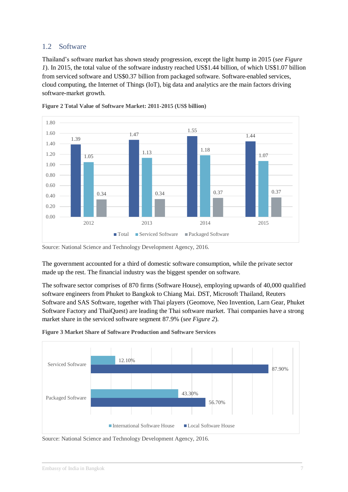#### <span id="page-6-0"></span>1.2 Software

Thailand's software market has shown steady progression, except the light hump in 2015 (*see Figure 1*). In 2015, the total value of the software industry reached US\$1.44 billion, of which US\$1.07 billion from serviced software and US\$0.37 billion from packaged software. Software-enabled services, cloud computing, the Internet of Things (IoT), big data and analytics are the main factors driving software-market growth.





The government accounted for a third of domestic software consumption, while the private sector made up the rest. The financial industry was the biggest spender on software.

The software sector comprises of 870 firms (Software House), employing upwards of 40,000 qualified software engineers from Phuket to Bangkok to Chiang Mai. DST, Microsoft Thailand, Reuters Software and SAS Software, together with Thai players (Geomove, Neo Invention, Larn Gear, Phuket Software Factory and ThaiQuest) are leading the Thai software market. Thai companies have a strong market share in the serviced software segment 87.9% (*see Figure 2*).



**Figure 3 Market Share of Software Production and Software Services**

Source: National Science and Technology Development Agency, 2016.

Source: National Science and Technology Development Agency, 2016.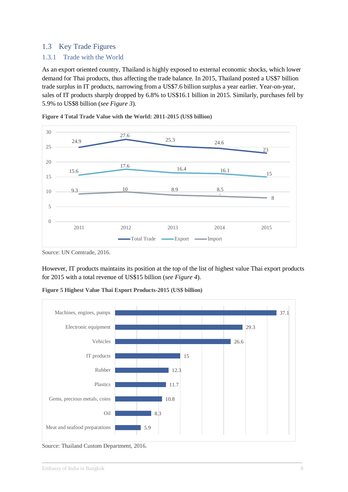#### <span id="page-7-0"></span>1.3 Key Trade Figures

#### <span id="page-7-1"></span>1.3.1 Trade with the World

As an export oriented country, Thailand is highly exposed to external economic shocks, which lower demand for Thai products, thus affecting the trade balance. In 2015, Thailand posted a US\$7 billion trade surplus in IT products, narrowing from a US\$7.6 billion surplus a year earlier. Year-on-year, sales of IT products sharply dropped by 6.8% to US\$16.1 billion in 2015. Similarly, purchases fell by 5.9% to US\$8 billion (*see Figure 3*).



**Figure 4 Total Trade Value with the World: 2011-2015 (US\$ billion)**

However, IT products maintains its position at the top of the list of highest value Thai export products for 2015 with a total revenue of US\$15 billion (*see Figure 4*).



**Figure 5 Highest Value Thai Export Products-2015 (US\$ billion)**

Source: Thailand Custom Department, 2016.

Source: UN Comtrade, 2016.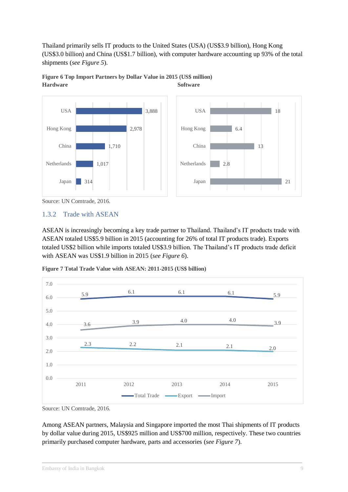Thailand primarily sells IT products to the United States (USA) (US\$3.9 billion), Hong Kong (US\$3.0 billion) and China (US\$1.7 billion), with computer hardware accounting up 93% of the total shipments (*see Figure 5*).





#### <span id="page-8-0"></span>1.3.2 Trade with ASEAN

ASEAN is increasingly becoming a key trade partner to Thailand. Thailand's IT products trade with ASEAN totaled US\$5.9 billion in 2015 (accounting for 26% of total IT products trade). Exports totaled US\$2 billion while imports totaled US\$3.9 billion. The Thailand's IT products trade deficit with ASEAN was US\$1.9 billion in 2015 (*see Figure 6*).

**Figure 7 Total Trade Value with ASEAN: 2011-2015 (US\$ billion)**



Source: UN Comtrade, 2016.

Among ASEAN partners, Malaysia and Singapore imported the most Thai shipments of IT products by dollar value during 2015, US\$925 million and US\$700 million, respectively. These two countries primarily purchased computer hardware, parts and accessories (*see Figure 7*).

Source: UN Comtrade, 2016.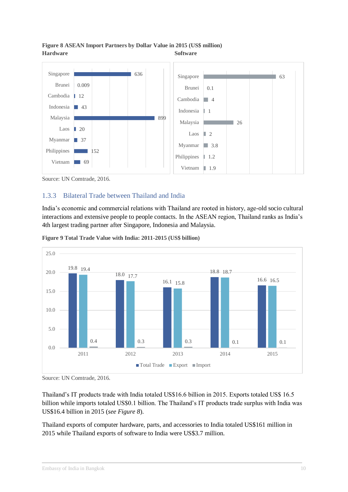

#### **Figure 8 ASEAN Import Partners by Dollar Value in 2015 (US\$ million) Hardware Software**

Source: UN Comtrade, 2016.

#### <span id="page-9-0"></span>1.3.3 Bilateral Trade between Thailand and India

India's economic and commercial relations with Thailand are rooted in history, age-old socio cultural interactions and extensive people to people contacts. In the ASEAN region, Thailand ranks as India's 4th largest trading partner after Singapore, Indonesia and Malaysia.



**Figure 9 Total Trade Value with India: 2011-2015 (US\$ billion)**

Source: UN Comtrade, 2016.

Thailand's IT products trade with India totaled US\$16.6 billion in 2015. Exports totaled US\$ 16.5 billion while imports totaled US\$0.1 billion. The Thailand's IT products trade surplus with India was US\$16.4 billion in 2015 (*see Figure 8*).

Thailand exports of computer hardware, parts, and accessories to India totaled US\$161 million in 2015 while Thailand exports of software to India were US\$3.7 million.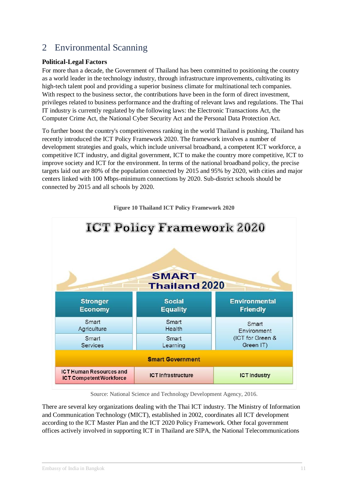## <span id="page-10-0"></span>2 Environmental Scanning

#### **Political-Legal Factors**

For more than a decade, the Government of Thailand has been committed to positioning the country as a world leader in the technology industry, through infrastructure improvements, cultivating its high-tech talent pool and providing a superior business climate for multinational tech companies. With respect to the business sector, the contributions have been in the form of direct investment, privileges related to business performance and the drafting of relevant laws and regulations. The Thai IT industry is currently regulated by the following laws: the Electronic Transactions Act, the Computer Crime Act, the National Cyber Security Act and the Personal Data Protection Act.

To further boost the country's competitiveness ranking in the world Thailand is pushing, Thailand has recently introduced the ICT Policy Framework 2020. The framework involves a number of development strategies and goals, which include universal broadband, a competent ICT workforce, a competitive ICT industry, and digital government, ICT to make the country more competitive, ICT to improve society and ICT for the environment. In terms of the national broadband policy, the precise targets laid out are 80% of the population connected by 2015 and 95% by 2020, with cities and major centers linked with 100 Mbps-minimum connections by 2020. Sub-district schools should be connected by 2015 and all schools by 2020.



**Figure 10 Thailand ICT Policy Framework 2020**

Source: National Science and Technology Development Agency, 2016.

There are several key organizations dealing with the Thai ICT industry. The Ministry of Information and Communication Technology (MICT), established in 2002, coordinates all ICT development according to the ICT Master Plan and the ICT 2020 Policy Framework. Other focal government offices actively involved in supporting ICT in Thailand are SIPA, the National Telecommunications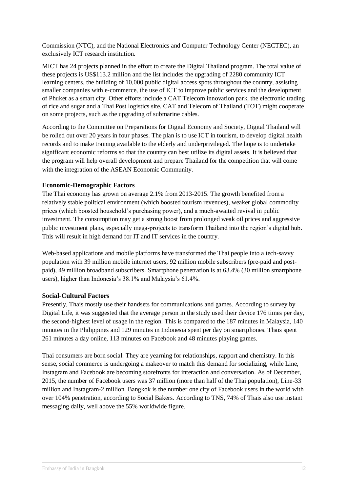Commission (NTC), and the National Electronics and Computer Technology Center (NECTEC), an exclusively ICT research institution.

MICT has 24 projects planned in the effort to create the Digital Thailand program. The total value of these projects is US\$113.2 million and the list includes the upgrading of 2280 community ICT learning centers, the building of 10,000 public digital access spots throughout the country, assisting smaller companies with e-commerce, the use of ICT to improve public services and the development of Phuket as a smart city. Other efforts include a CAT Telecom innovation park, the electronic trading of rice and sugar and a Thai Post logistics site. CAT and Telecom of Thailand (TOT) might cooperate on some projects, such as the upgrading of submarine cables.

According to the Committee on Preparations for Digital Economy and Society, Digital Thailand will be rolled out over 20 years in four phases. The plan is to use ICT in tourism, to develop digital health records and to make training available to the elderly and underprivileged. The hope is to undertake significant economic reforms so that the country can best utilize its digital assets. It is believed that the program will help overall development and prepare Thailand for the competition that will come with the integration of the ASEAN Economic Community.

#### **Economic-Demographic Factors**

The Thai economy has grown on average 2.1% from 2013-2015. The growth benefited from a relatively stable political environment (which boosted tourism revenues), weaker global commodity prices (which boosted household's purchasing power), and a much-awaited revival in public investment. The consumption may get a strong boost from prolonged weak oil prices and aggressive public investment plans, especially mega-projects to transform Thailand into the region's digital hub. This will result in high demand for IT and IT services in the country.

Web-based applications and mobile platforms have transformed the Thai people into a tech-savvy population with 39 million mobile internet users, 92 million mobile subscribers (pre-paid and postpaid), 49 million broadband subscribers. Smartphone penetration is at 63.4% (30 million smartphone users), higher than Indonesia's 38.1% and Malaysia's 61.4%.

#### **Social-Cultural Factors**

Presently, Thais mostly use their handsets for communications and games. According to survey by Digital Life, it was suggested that the average person in the study used their device 176 times per day, the second-highest level of usage in the region. This is compared to the 187 minutes in Malaysia, 140 minutes in the Philippines and 129 minutes in Indonesia spent per day on smartphones. Thais spent 261 minutes a day online, 113 minutes on Facebook and 48 minutes playing games.

Thai consumers are born social. They are yearning for relationships, rapport and chemistry. In this sense, social commerce is undergoing a makeover to match this demand for socializing, while Line, Instagram and Facebook are becoming storefronts for interaction and conversation. As of December, 2015, the number of Facebook users was 37 million (more than half of the Thai population), Line-33 million and Instagram-2 million. Bangkok is the number one city of Facebook users in the world with over 104% penetration, according to Social Bakers. According to TNS, 74% of Thais also use instant messaging daily, well above the 55% worldwide figure.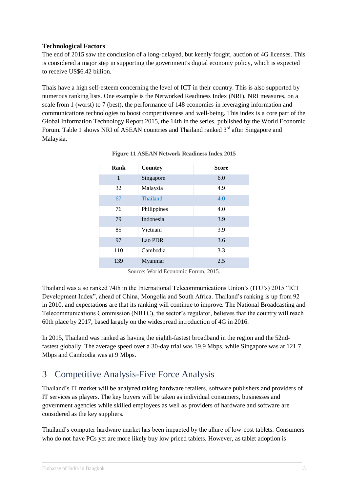#### **Technological Factors**

The end of 2015 saw the conclusion of a long-delayed, but keenly fought, auction of 4G licenses. This is considered a major step in supporting the government's digital economy policy, which is expected to receive US\$6.42 billion.

Thais have a high self-esteem concerning the level of ICT in their country. This is also supported by numerous ranking lists. One example is the Networked Readiness Index (NRI). NRI measures, on a scale from 1 (worst) to 7 (best), the performance of 148 economies in leveraging information and communications technologies to boost competitiveness and well-being. This index is a core part of the Global Information Technology Report 2015, the 14th in the series, published by the World Economic Forum. Table 1 shows NRI of ASEAN countries and Thailand ranked  $3<sup>rd</sup>$  after Singapore and Malaysia.

| Rank | <b>Country</b> | <b>Score</b> |
|------|----------------|--------------|
| 1    | Singapore      | 6.0          |
| 32   | Malaysia       | 4.9          |
| 67   | Thailand       | 4.0          |
| 76   | Philippines    | 4.0          |
| 79   | Indonesia      | 3.9          |
| 85   | Vietnam        | 3.9          |
| 97   | Lao PDR        | 3.6          |
| 110  | Cambodia       | 3.3          |
| 139  | Myanmar        | 2.5          |

**Figure 11 ASEAN Network Readiness Index 2015**

Source: World Economic Forum, 2015.

Thailand was also ranked 74th in the International Telecommunications Union's (ITU's) 2015 "ICT Development Index", ahead of China, Mongolia and South Africa. Thailand's ranking is up from 92 in 2010, and expectations are that its ranking will continue to improve. The National Broadcasting and Telecommunications Commission (NBTC), the sector's regulator, believes that the country will reach 60th place by 2017, based largely on the widespread introduction of 4G in 2016.

In 2015, Thailand was ranked as having the eighth-fastest broadband in the region and the 52ndfastest globally. The average speed over a 30-day trial was 19.9 Mbps, while Singapore was at 121.7 Mbps and Cambodia was at 9 Mbps.

## <span id="page-12-0"></span>3 Competitive Analysis-Five Force Analysis

Thailand's IT market will be analyzed taking hardware retailers, software publishers and providers of IT services as players. The key buyers will be taken as individual consumers, businesses and government agencies while skilled employees as well as providers of hardware and software are considered as the key suppliers.

Thailand's computer hardware market has been impacted by the allure of low-cost tablets. Consumers who do not have PCs yet are more likely buy low priced tablets. However, as tablet adoption is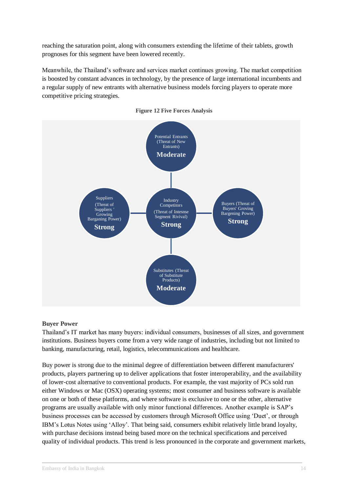reaching the saturation point, along with consumers extending the lifetime of their tablets, growth prognoses for this segment have been lowered recently.

Meanwhile, the Thailand's software and services market continues growing. The market competition is boosted by constant advances in technology, by the presence of large international incumbents and a regular supply of new entrants with alternative business models forcing players to operate more competitive pricing strategies.



#### **Figure 12 Five Forces Analysis**

#### **Buyer Power**

Thailand's IT market has many buyers: individual consumers, businesses of all sizes, and government institutions. Business buyers come from a very wide range of industries, including but not limited to banking, manufacturing, retail, logistics, telecommunications and healthcare.

Buy power is strong due to the minimal degree of differentiation between different manufacturers' products, players partnering up to deliver applications that foster interoperability, and the availability of lower-cost alternative to conventional products. For example, the vast majority of PCs sold run either Windows or Mac (OSX) operating systems; most consumer and business software is available on one or both of these platforms, and where software is exclusive to one or the other, alternative programs are usually available with only minor functional differences. Another example is SAP's business processes can be accessed by customers through Microsoft Office using 'Duet', or through IBM's Lotus Notes using 'Alloy'. That being said, consumers exhibit relatively little brand loyalty, with purchase decisions instead being based more on the technical specifications and perceived quality of individual products. This trend is less pronounced in the corporate and government markets,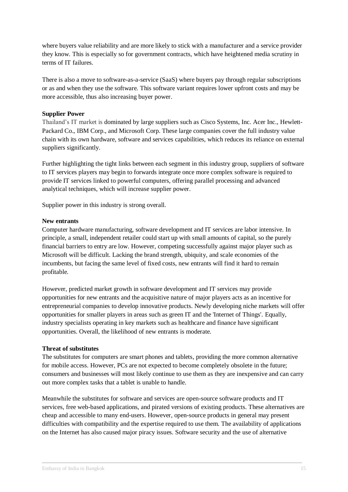where buyers value reliability and are more likely to stick with a manufacturer and a service provider they know. This is especially so for government contracts, which have heightened media scrutiny in terms of IT failures.

There is also a move to software-as-a-service (SaaS) where buyers pay through regular subscriptions or as and when they use the software. This software variant requires lower upfront costs and may be more accessible, thus also increasing buyer power.

#### **Supplier Power**

Thailand's IT market is dominated by large suppliers such as Cisco Systems, Inc. Acer Inc., Hewlett-Packard Co., IBM Corp., and Microsoft Corp. These large companies cover the full industry value chain with its own hardware, software and services capabilities, which reduces its reliance on external suppliers significantly.

Further highlighting the tight links between each segment in this industry group, suppliers of software to IT services players may begin to forwards integrate once more complex software is required to provide IT services linked to powerful computers, offering parallel processing and advanced analytical techniques, which will increase supplier power.

Supplier power in this industry is strong overall.

#### **New entrants**

Computer hardware manufacturing, software development and IT services are labor intensive. In principle, a small, independent retailer could start up with small amounts of capital, so the purely financial barriers to entry are low. However, competing successfully against major player such as Microsoft will be difficult. Lacking the brand strength, ubiquity, and scale economies of the incumbents, but facing the same level of fixed costs, new entrants will find it hard to remain profitable.

However, predicted market growth in software development and IT services may provide opportunities for new entrants and the acquisitive nature of major players acts as an incentive for entrepreneurial companies to develop innovative products. Newly developing niche markets will offer opportunities for smaller players in areas such as green IT and the 'Internet of Things'. Equally, industry specialists operating in key markets such as healthcare and finance have significant opportunities. Overall, the likelihood of new entrants is moderate.

#### **Threat of substitutes**

The substitutes for computers are smart phones and tablets, providing the more common alternative for mobile access. However, PCs are not expected to become completely obsolete in the future; consumers and businesses will most likely continue to use them as they are inexpensive and can carry out more complex tasks that a tablet is unable to handle.

Meanwhile the substitutes for software and services are open-source software products and IT services, free web-based applications, and pirated versions of existing products. These alternatives are cheap and accessible to many end-users. However, open-source products in general may present difficulties with compatibility and the expertise required to use them. The availability of applications on the Internet has also caused major piracy issues. Software security and the use of alternative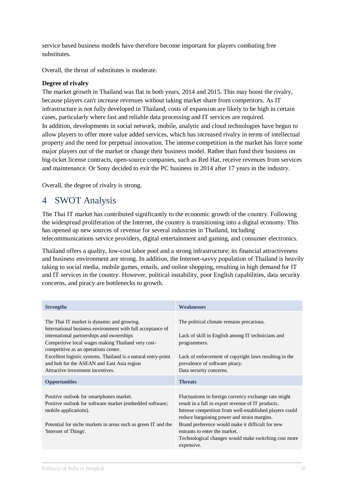service based business models have therefore become important for players combating free substitutes.

Overall, the threat of substitutes is moderate.

#### **Degree of rivalry**

The market growth in Thailand was flat in both years, 2014 and 2015. This may boost the rivalry, because players can't increase revenues without taking market share from competitors. As IT infrastructure is not fully developed in Thailand, costs of expansion are likely to be high in certain cases, particularly where fast and reliable data processing and IT services are required. In addition, developments in social network, mobile, analytic and cloud technologies have begun to allow players to offer more value added services, which has increased rivalry in terms of intellectual property and the need for perpetual innovation. The intense competition in the market has force some major players out of the market or change their business model. Rather than fund their business on big-ticket license contracts, open-source companies, such as Red Hat, receive revenues from services and maintenance. Or Sony decided to exit the PC business in 2014 after 17 years in the industry.

Overall, the degree of rivalry is strong.

## <span id="page-15-0"></span>4 SWOT Analysis

The Thai IT market has contributed significantly to the economic growth of the country. Following the widespread proliferation of the Internet, the country is transitioning into a digital economy. This has opened up new sources of revenue for several industries in Thailand, including telecommunications service providers, digital entertainment and gaming, and consumer electronics.

Thailand offers a quality, low-cost labor pool and a strong infrastructure; its financial attractiveness and business environment are strong. In addition, the Internet-savvy population of Thailand is heavily taking to social media, mobile games, emails, and online shopping, resulting in high demand for IT and IT services in the country. However, political instability, poor English capabilities, data security concerns, and piracy are bottlenecks to growth.

| <b>Strengths</b>                                                                                                                                                                                                                                                                                                                                                                                        | <b>Weaknesses</b>                                                                                                                                                                                                                                                                                                                                                               |
|---------------------------------------------------------------------------------------------------------------------------------------------------------------------------------------------------------------------------------------------------------------------------------------------------------------------------------------------------------------------------------------------------------|---------------------------------------------------------------------------------------------------------------------------------------------------------------------------------------------------------------------------------------------------------------------------------------------------------------------------------------------------------------------------------|
| The Thai IT market is dynamic and growing.<br>International business environment with full acceptance of<br>international partnerships and ownerships<br>Competitive local wages making Thailand very cost-<br>competitive as an operations center.<br>Excellent logistic systems. Thailand is a natural entry-point<br>and hub for the ASEAN and East Asia region<br>Attractive investment incentives. | The political climate remains precarious.<br>Lack of skill in English among IT technicians and<br>programmers.<br>Lack of enforcement of copyright laws resulting in the<br>prevalence of software piracy.<br>Data security concerns.                                                                                                                                           |
| <b>Opportunities</b>                                                                                                                                                                                                                                                                                                                                                                                    | <b>Threats</b>                                                                                                                                                                                                                                                                                                                                                                  |
| Positive outlook for smartphones market.<br>Positive outlook for software market (embedded software;<br>mobile applications).<br>Potential for niche markets in areas such as green IT and the<br>'Internet of Things'.                                                                                                                                                                                 | Fluctuations in foreign currency exchange rate might<br>result in a fall in export revenue of IT products.<br>Intense competition from well-established players could<br>reduce bargaining power and strain margins.<br>Brand preference would make it difficult for new<br>entrants to enter the market.<br>Technological changes would make switching cost more<br>expensive. |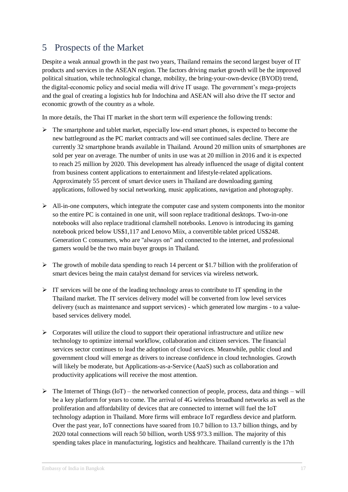## <span id="page-16-0"></span>5 Prospects of the Market

Despite a weak annual growth in the past two years, Thailand remains the second largest buyer of IT products and services in the ASEAN region. The factors driving market growth will be the improved political situation, while technological change, mobility, the bring-your-own-device (BYOD) trend, the digital-economic policy and social media will drive IT usage. The government's mega-projects and the goal of creating a logistics hub for Indochina and ASEAN will also drive the IT sector and economic growth of the country as a whole.

In more details, the Thai IT market in the short term will experience the following trends:

- $\triangleright$  The smartphone and tablet market, especially low-end smart phones, is expected to become the new battleground as the PC market contracts and will see continued sales decline. There are currently 32 smartphone brands available in Thailand. Around 20 million units of smartphones are sold per year on average. The number of units in use was at 20 million in 2016 and it is expected to reach 25 million by 2020. This development has already influenced the usage of digital content from business content applications to entertainment and lifestyle-related applications. Approximately 55 percent of smart device users in Thailand are downloading gaming applications, followed by social networking, music applications, navigation and photography.
- $\triangleright$  All-in-one computers, which integrate the computer case and system components into the monitor so the entire PC is contained in one unit, will soon replace traditional desktops. Two-in-one notebooks will also replace traditional clamshell notebooks. Lenovo is introducing its gaming notebook priced below US\$1,117 and Lenovo Miix, a convertible tablet priced US\$248. Generation C consumers, who are "always on" and connected to the internet, and professional gamers would be the two main buyer groups in Thailand.
- $\triangleright$  The growth of mobile data spending to reach 14 percent or \$1.7 billion with the proliferation of smart devices being the main catalyst demand for services via wireless network.
- $\triangleright$  IT services will be one of the leading technology areas to contribute to IT spending in the Thailand market. The IT services delivery model will be converted from low level services delivery (such as maintenance and support services) - which generated low margins - to a valuebased services delivery model.
- $\triangleright$  Corporates will utilize the cloud to support their operational infrastructure and utilize new technology to optimize internal workflow, collaboration and citizen services. The financial services sector continues to lead the adoption of cloud services. Meanwhile, public cloud and government cloud will emerge as drivers to increase confidence in cloud technologies. Growth will likely be moderate, but Applications-as-a-Service (AaaS) such as collaboration and productivity applications will receive the most attention.
- $\triangleright$  The Internet of Things (IoT) the networked connection of people, process, data and things will be a key platform for years to come. The arrival of 4G wireless broadband networks as well as the proliferation and affordability of devices that are connected to internet will fuel the IoT technology adaption in Thailand. More firms will embrace IoT regardless device and platform. Over the past year, IoT connections have soared from 10.7 billion to 13.7 billion things, and by 2020 total connections will reach 50 billion, worth US\$ 973.3 million. The majority of this spending takes place in manufacturing, logistics and healthcare. Thailand currently is the 17th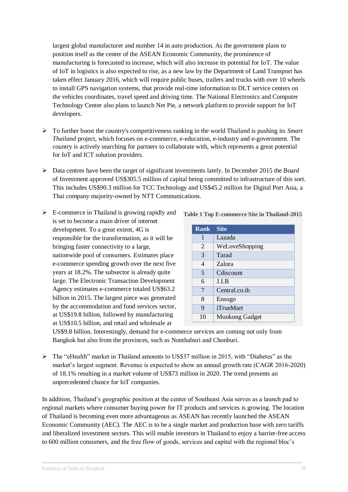largest global manufacturer and number 14 in auto production. As the government plans to position itself as the center of the ASEAN Economic Community, the prominence of manufacturing is forecasted to increase, which will also increase its potential for IoT. The value of IoT in logistics is also expected to rise, as a new law by the Department of Land Transport has taken effect January 2016, which will require public buses, trailers and trucks with over 10 wheels to install GPS navigation systems, that provide real-time information to DLT service centers on the vehicles coordinates, travel speed and driving time. The National Electronics and Computer Technology Center also plans to launch Net Pie, a network platform to provide support for IoT developers.

- To further boost the country's competitiveness ranking in the world Thailand is pushing its *Smart Thailand* project, which focuses on e-commerce, e-education, e-industry and e-government. The country is actively searching for partners to collaborate with, which represents a great potential for IoT and ICT solution providers.
- $\triangleright$  Data centres have been the target of significant investments lately. In December 2015 the Board of Investment approved US\$305.5 million of capital being committed to infrastructure of this sort. This includes US\$90.3 million for TCC Technology and US\$45.2 million for Digital Port Asia, a Thai company majority-owned by NTT Communications.
- $\triangleright$  E-commerce in Thailand is growing rapidly and is set to become a main driver of internet development. To a great extent, 4G is responsible for the transformation, as it will be bringing faster connectivity to a large, nationwide pool of consumers. Estimates place e-commerce spending growth over the next five years at 18.2%. The subsector is already quite large. The Electronic Transaction Development Agency estimates e-commerce totaled US\$63.2 billion in 2015. The largest piece was generated by the accommodation and food services sector, at US\$19.8 billion, followed by manufacturing at US\$10.5 billion, and retail and wholesale at

**Table 1 Top E-commerce Site in Thailand-2015**

| Rank           | <b>Site</b>           |
|----------------|-----------------------|
| 1              | Lazada                |
| $\overline{2}$ | WeLoveShopping        |
| 3              | Tarad                 |
| 4              | Zalora                |
| 5              | Cdiscount             |
| 6              | J.I.B                 |
| 7              | Central.co.th         |
| 8              | Ensogo                |
| 9              | iTrueMart             |
| 10             | <b>Munkong Gadget</b> |

US\$9.8 billion. Interestingly, demand for e-commerce services are coming not only from Bangkok but also from the provinces, such as Nonthaburi and Chonburi.

 $\triangleright$  The "eHealth" market in Thailand amounts to US\$37 million in 2015, with "Diabetes" as the market's largest segment. Revenue is expected to show an annual growth rate (CAGR 2016-2020) of 18.1% resulting in a market volume of US\$73 million in 2020. The trend presents an unprecedented chance for IoT companies.

In addition, Thailand's geographic position at the center of Southeast Asia serves as a launch pad to regional markets where consumer buying power for IT products and services is growing. The location of Thailand is becoming even more advantageous as ASEAN has recently launched the ASEAN Economic Community (AEC). The AEC is to be a single market and production base with zero tariffs and liberalized investment sectors. This will enable investors in Thailand to enjoy a barrier-free access to 600 million consumers, and the free flow of goods, services and capital with the regional bloc's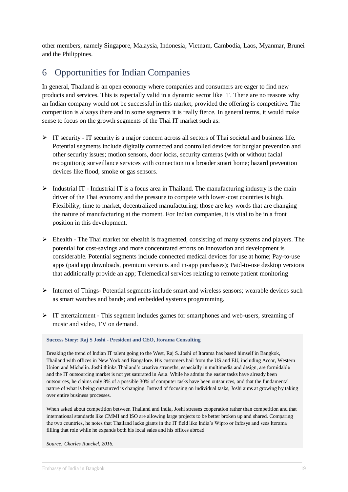other members, namely Singapore, Malaysia, Indonesia, Vietnam, Cambodia, Laos, Myanmar, Brunei and the Philippines.

## <span id="page-18-0"></span>6 Opportunities for Indian Companies

In general, Thailand is an open economy where companies and consumers are eager to find new products and services. This is especially valid in a dynamic sector like IT. There are no reasons why an Indian company would not be successful in this market, provided the offering is competitive. The competition is always there and in some segments it is really fierce. In general terms, it would make sense to focus on the growth segments of the Thai IT market such as:

- $\triangleright$  IT security IT security is a major concern across all sectors of Thai societal and business life. Potential segments include digitally connected and controlled devices for burglar prevention and other security issues; motion sensors, door locks, security cameras (with or without facial recognition); surveillance services with connection to a broader smart home; hazard prevention devices like flood, smoke or gas sensors.
- $\triangleright$  Industrial IT Industrial IT is a focus area in Thailand. The manufacturing industry is the main driver of the Thai economy and the pressure to compete with lower-cost countries is high. Flexibility, time to market, decentralized manufacturing; those are key words that are changing the nature of manufacturing at the moment. For Indian companies, it is vital to be in a front position in this development.
- Ehealth The Thai market for ehealth is fragmented, consisting of many systems and players. The potential for cost-savings and more concentrated efforts on innovation and development is considerable. Potential segments include connected medical devices for use at home; Pay-to-use apps (paid app downloads, premium versions and in-app purchases); Paid-to-use desktop versions that additionally provide an app; Telemedical services relating to remote patient monitoring
- Internet of Things- Potential segments include smart and wireless sensors; wearable devices such as smart watches and bands; and embedded systems programming.
- $\triangleright$  IT entertainment This segment includes games for smartphones and web-users, streaming of music and video, TV on demand.

#### **Success Story: Raj S Joshi - President and CEO, Itorama Consulting**

Breaking the trend of Indian IT talent going to the West, Raj S. Joshi of Itorama has based himself in Bangkok, Thailand with offices in New York and Bangalore. His customers hail from the US and EU, including Accor, Western Union and Michelin. Joshi thinks Thailand's creative strengths, especially in multimedia and design, are formidable and the IT outsourcing market is not yet saturated in Asia. While he admits the easier tasks have already been outsources, he claims only 8% of a possible 30% of computer tasks have been outsources, and that the fundamental nature of what is being outsourced is changing. Instead of focusing on individual tasks, Joshi aims at growing by taking over entire business processes.

When asked about competition between Thailand and India, Joshi stresses cooperation rather than competition and that international standards like CMMI and ISO are allowing large projects to be better broken up and shared. Comparing the two countries, he notes that Thailand lacks giants in the IT field like India's Wipro or Infosys and sees Itorama filling that role while he expands both his local sales and his offices abroad.

*Source: Charles Runckel, 2016.*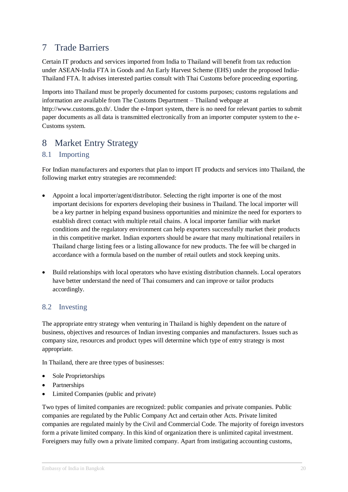## <span id="page-19-0"></span>7 Trade Barriers

Certain IT products and services imported from India to Thailand will benefit from tax reduction under ASEAN-India FTA in Goods and An Early Harvest Scheme (EHS) under the proposed India-Thailand FTA. It advises interested parties consult with Thai Customs before proceeding exporting.

Imports into Thailand must be properly documented for customs purposes; customs regulations and information are available from The Customs Department – Thailand webpage at [http://www.customs.go.th/.](http://www.customs.go.th/) Under the e-Import system, there is no need for relevant parties to submit paper documents as all data is transmitted electronically from an importer computer system to the e-Customs system.

## <span id="page-19-1"></span>8 Market Entry Strategy

### <span id="page-19-2"></span>8.1 Importing

For Indian manufacturers and exporters that plan to import IT products and services into Thailand, the following market entry strategies are recommended:

- Appoint a local importer/agent/distributor. Selecting the right importer is one of the most important decisions for exporters developing their business in Thailand. The local importer will be a key partner in helping expand business opportunities and minimize the need for exporters to establish direct contact with multiple retail chains. A local importer familiar with market conditions and the regulatory environment can help exporters successfully market their products in this competitive market. Indian exporters should be aware that many multinational retailers in Thailand charge listing fees or a listing allowance for new products. The fee will be charged in accordance with a formula based on the number of retail outlets and stock keeping units.
- Build relationships with local operators who have existing distribution channels. Local operators have better understand the need of Thai consumers and can improve or tailor products accordingly.

#### <span id="page-19-3"></span>8.2 Investing

The appropriate entry strategy when venturing in Thailand is highly dependent on the nature of business, objectives and resources of Indian investing companies and manufacturers. Issues such as company size, resources and product types will determine which type of entry strategy is most appropriate.

In Thailand, there are three types of businesses:

- Sole Proprietorships
- Partnerships
- Limited Companies (public and private)

Two types of limited companies are recognized: public companies and private companies. Public companies are regulated by the Public Company Act and certain other Acts. Private limited companies are regulated mainly by the Civil and Commercial Code. The majority of foreign investors form a private limited company. In this kind of organization there is unlimited capital investment. Foreigners may fully own a private limited company. Apart from instigating accounting customs,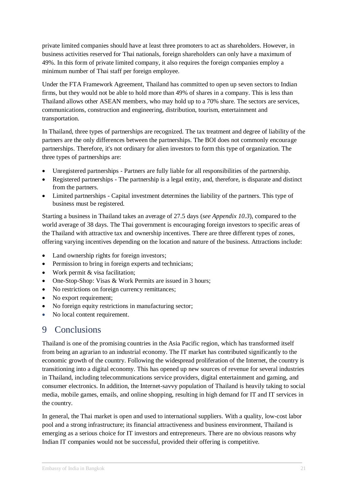private limited companies should have at least three promoters to act as shareholders. However, in business activities reserved for Thai nationals, foreign shareholders can only have a maximum of 49%. In this form of private limited company, it also requires the foreign companies employ a minimum number of Thai staff per foreign employee.

Under the FTA Framework Agreement, Thailand has committed to open up seven sectors to Indian firms, but they would not be able to hold more than 49% of shares in a company. This is less than Thailand allows other ASEAN members, who may hold up to a 70% share. The sectors are services, communications, construction and engineering, distribution, tourism, entertainment and transportation.

In Thailand, three types of partnerships are recognized. The tax treatment and degree of liability of the partners are the only differences between the partnerships. The BOI does not commonly encourage partnerships. Therefore, it's not ordinary for alien investors to form this type of organization. The three types of partnerships are:

- Unregistered partnerships Partners are fully liable for all responsibilities of the partnership.
- Registered partnerships The partnership is a legal entity, and, therefore, is disparate and distinct from the partners.
- Limited partnerships Capital investment determines the liability of the partners. This type of business must be registered.

Starting a business in Thailand takes an average of 27.5 days (*see Appendix 10.3*), compared to the world average of 38 days. The Thai government is encouraging foreign investors to specific areas of the Thailand with attractive tax and ownership incentives. There are three different types of zones, offering varying incentives depending on the location and nature of the business. Attractions include:

- Land ownership rights for foreign investors;
- Permission to bring in foreign experts and technicians;
- Work permit & visa facilitation:
- One-Stop-Shop: Visas & Work Permits are issued in 3 hours;
- No restrictions on foreign currency remittances;
- No export requirement:
- No foreign equity restrictions in manufacturing sector;
- No local content requirement.

## <span id="page-20-0"></span>9 Conclusions

Thailand is one of the promising countries in the Asia Pacific region, which has transformed itself from being an agrarian to an industrial economy. The IT market has contributed significantly to the economic growth of the country. Following the widespread proliferation of the Internet, the country is transitioning into a digital economy. This has opened up new sources of revenue for several industries in Thailand, including telecommunications service providers, digital entertainment and gaming, and consumer electronics. In addition, the Internet-savvy population of Thailand is heavily taking to social media, mobile games, emails, and online shopping, resulting in high demand for IT and IT services in the country.

In general, the Thai market is open and used to international suppliers. With a quality, low-cost labor pool and a strong infrastructure; its financial attractiveness and business environment, Thailand is emerging as a serious choice for IT investors and entrepreneurs. There are no obvious reasons why Indian IT companies would not be successful, provided their offering is competitive.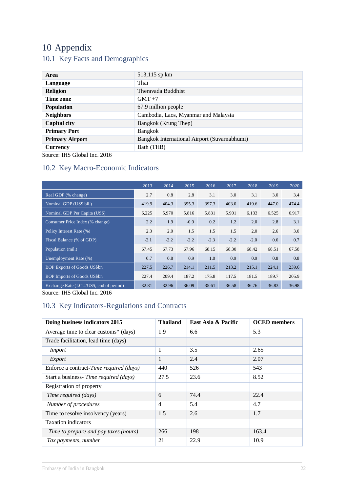## <span id="page-21-1"></span><span id="page-21-0"></span>10 Appendix 10.1 Key Facts and Demographics

| Area                   | 513,115 sp km                                |
|------------------------|----------------------------------------------|
| Language               | Thai                                         |
| Religion               | Theravada Buddhist                           |
| Time zone              | $GMT + 7$                                    |
| <b>Population</b>      | 67.9 million people                          |
| <b>Neighbors</b>       | Cambodia, Laos, Myanmar and Malaysia         |
| <b>Capital city</b>    | Bangkok (Krung Thep)                         |
| <b>Primary Port</b>    | Bangkok                                      |
| <b>Primary Airport</b> | Bangkok International Airport (Suvarnabhumi) |
| <b>Currency</b>        | Bath (THB)                                   |

<span id="page-21-2"></span>Source: IHS Global Inc. 2016

#### 10.2 Key Macro-Economic Indicators

|                                         | 2013   | 2014   | 2015   | 2016   | 2017   | 2018   | 2019  | 2020  |
|-----------------------------------------|--------|--------|--------|--------|--------|--------|-------|-------|
| Real GDP (% change)                     | 2.7    | 0.8    | 2.8    | 3.1    | 3.0    | 3.1    | 3.0   | 3.4   |
| Nominal GDP (US\$ bil.)                 | 419.9  | 404.3  | 395.3  | 397.3  | 403.0  | 419.6  | 447.0 | 474.4 |
| Nominal GDP Per Capita (US\$)           | 6,225  | 5,970  | 5,816  | 5,831  | 5,901  | 6,133  | 6,525 | 6,917 |
| Consumer Price Index (% change)         | 2.2    | 1.9    | $-0.9$ | 0.2    | 1.2    | 2.0    | 2.8   | 3.1   |
| Policy Interest Rate (%)                | 2.3    | 2.0    | 1.5    | 1.5    | 1.5    | 2.0    | 2.6   | 3.0   |
| Fiscal Balance (% of GDP)               | $-2.1$ | $-2.2$ | $-2.2$ | $-2.3$ | $-2.2$ | $-2.0$ | 0.6   | 0.7   |
| Population (mil.)                       | 67.45  | 67.73  | 67.96  | 68.15  | 68.30  | 68.42  | 68.51 | 67.58 |
| Unemployment Rate (%)                   | 0.7    | 0.8    | 0.9    | 1.0    | 0.9    | 0.9    | 0.8   | 0.8   |
| <b>BOP Exports of Goods US\$bn</b>      | 227.5  | 226.7  | 214.1  | 211.5  | 213.2  | 215.1  | 224.1 | 239.6 |
| <b>BOP Imports of Goods US\$bn</b>      | 227.4  | 209.4  | 187.2  | 175.8  | 117.5  | 181.5  | 189.7 | 205.9 |
| Exchange Rate (LCU/US\$, end of period) | 32.81  | 32.96  | 36.09  | 35.61  | 36.58  | 36.76  | 36.83 | 36.98 |

Source: IHS Global Inc. 2016

## <span id="page-21-3"></span>10.3 Key Indicators-Regulations and Contracts

| Doing business indicators 2015          | <b>Thailand</b> | East Asia & Pacific | <b>OCED</b> members |
|-----------------------------------------|-----------------|---------------------|---------------------|
| Average time to clear customs* (days)   | 1.9             | 6.6                 | 5.3                 |
| Trade facilitation, lead time (days)    |                 |                     |                     |
| <b>Import</b>                           | 1               | 3.5                 | 2.65                |
| Export                                  | $\mathbf{1}$    | 2.4                 | 2.07                |
| Enforce a contract-Time required (days) | 440             | 526                 | 543                 |
| Start a business- Time required (days)  | 27.5            | 23.6                | 8.52                |
| Registration of property                |                 |                     |                     |
| Time required (days)                    | 6               | 74.4                | 22.4                |
| Number of procedures                    | $\overline{4}$  | 5.4                 | 4.7                 |
| Time to resolve insolvency (years)      | 1.5             | 2.6                 | 1.7                 |
| <b>Taxation</b> indicators              |                 |                     |                     |
| Time to prepare and pay taxes (hours)   | 266             | 198                 | 163.4               |
| Tax payments, number                    | 21              | 22.9                | 10.9                |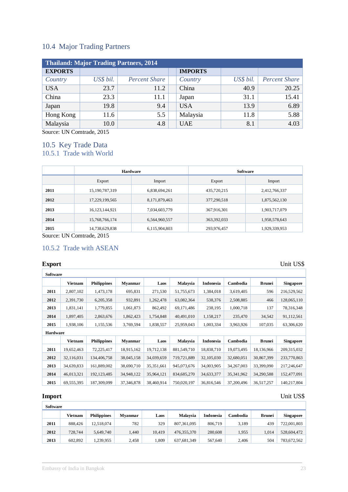#### <span id="page-22-0"></span>10.4 Major Trading Partners

| Thailand: Major Trading Partners, 2014 |           |                      |                |           |               |  |  |  |  |
|----------------------------------------|-----------|----------------------|----------------|-----------|---------------|--|--|--|--|
| <b>EXPORTS</b>                         |           |                      | <b>IMPORTS</b> |           |               |  |  |  |  |
| Country                                | US\$ bil. | <b>Percent Share</b> | Country        | US\$ bil. | Percent Share |  |  |  |  |
| <b>USA</b>                             | 23.7      | 11.2                 | China          | 40.9      | 20.25         |  |  |  |  |
| China                                  | 23.3      | 11.1                 | Japan          | 31.1      | 15.41         |  |  |  |  |
| Japan                                  | 19.8      | 9.4                  | <b>USA</b>     | 13.9      | 6.89          |  |  |  |  |
| Hong Kong                              | 11.6      | 5.5                  | Malaysia       | 11.8      | 5.88          |  |  |  |  |
| Malaysia                               | 10.0      | 4.8                  | <b>UAE</b>     | 8.1       | 4.03          |  |  |  |  |

Source: UN Comtrade, 2015

#### <span id="page-22-2"></span><span id="page-22-1"></span>10.5 Key Trade Data 10.5.1 Trade with World

|      | <b>Hardware</b>   |               | <b>Software</b> |               |  |
|------|-------------------|---------------|-----------------|---------------|--|
|      | Export<br>Import  |               | Export          | Import        |  |
| 2011 | 15, 190, 787, 319 | 6,838,694,261 | 435,720,215     | 2,412,766,337 |  |
| 2012 | 17,229,199,565    | 8,171,879,463 | 377,290,518     | 1,875,562,130 |  |
| 2013 | 16, 123, 144, 921 | 7,034,603,779 | 367,916,301     | 1,903,717,079 |  |
| 2014 | 15,768,766,174    | 6,564,960,557 | 363,392,033     | 1,958,578,643 |  |
| 2015 | 14,738,629,838    | 6,115,904,803 | 293,976,457     | 1,929,339,953 |  |

Source: UN Comtrade, 2015

#### <span id="page-22-3"></span>10.5.2 Trade with ASEAN

| <b>Software</b> |                |                    |                |              |             |                  |              |               |                  |
|-----------------|----------------|--------------------|----------------|--------------|-------------|------------------|--------------|---------------|------------------|
|                 | <b>Vietnam</b> | <b>Philippines</b> | <b>Myanmar</b> | Laos         | Malaysia    | <b>Indonesia</b> | Cambodia     | <b>Brunei</b> | <b>Singapore</b> |
| 2011            | 2,807,102      | 1,473,178          | 695,831        | 271,530      | 51,755,673  | 1,384,018        | 3,619,405    | 596           | 216,529,562      |
| 2012            | 2,391,730      | 6,205,358          | 932,891        | 1,262,478    | 63,082,364  | 538,376          | 2,508,885    | 466           | 128,065,110      |
| 2013            | 1,831,141      | 1,779,855          | 1,061,873      | 862,492      | 69,171,486  | 238,195          | 1,000,718    | 137           | 78,316,348       |
| 2014            | 1,897,405      | 2,863,676          | 1,862,423      | 1,754,848    | 40,491,010  | 1,158,217        | 235,470      | 34,542        | 91,112,561       |
| 2015            | 1,938,106      | 1,155,536          | 3,769,594      | 1,838,557    | 25,959,043  | 1,003,334        | 3,963,926    | 107,035       | 63,306,620       |
| Hardware        |                |                    |                |              |             |                  |              |               |                  |
|                 | <b>Vietnam</b> | <b>Philippines</b> | <b>Myanmar</b> | Laos         | Malaysia    | Indonesia        | Cambodia     | <b>Brunei</b> | <b>Singapore</b> |
| 2011            | 19,652,463     | 72,225,417         | 18,915,162     | 19,712,138   | 881,549,710 | 18,838,710       | 19,073,495   | 18,136,966    | 209,315,032      |
| 2012            | 32,116,031     | 134,406,758        | 38,045,158     | 34,039,659   | 719,721,889 | 32,105,030       | 32,680,051   | 30,867,399    | 233,770,863      |
| 2013            | 34,639,833     | 161,889,002        | 38,690,710     | 35, 351, 661 | 945,073,676 | 34,003,905       | 34, 267, 003 | 33,399,090    | 217,246,647      |
| 2014            | 46,013,321     | 192,123,485        | 34,948,122     | 35,964,121   | 834,685,270 | 34,633,377       | 35,341,962   | 34,290,588    | 152,477,091      |
| 2015            | 69,555,395     | 187,309,099        | 37, 346, 878   | 38,460,914   | 750,020,197 | 36,816,546       | 37,200,496   | 36,517,257    | 140,217,804      |

#### **Import** Unit US\$

| <b>Software</b> |         |                    |                |        |                 |           |          |               |                  |
|-----------------|---------|--------------------|----------------|--------|-----------------|-----------|----------|---------------|------------------|
|                 | Vietnam | <b>Philippines</b> | <b>Mvanmar</b> | Laos   | <b>Malaysia</b> | Indonesia | Cambodia | <b>Brunei</b> | <b>Singapore</b> |
| 2011            | 888.426 | 12.518.074         | 782            | 329    | 807, 361, 095   | 806,719   | 3.189    | 439           | 722,001,803      |
| 2012            | 728,744 | 5.649.740          | .440           | 10.419 | 476,355,370     | 280,608   | 1.955    | 1.014         | 528,604,472      |
| 2013            | 602.892 | 1.239.955          | 2,458          | .309   | 637, 681, 349   | 567,640   | 2.406    | 504           | 783,672,562      |

**Export** Unit US\$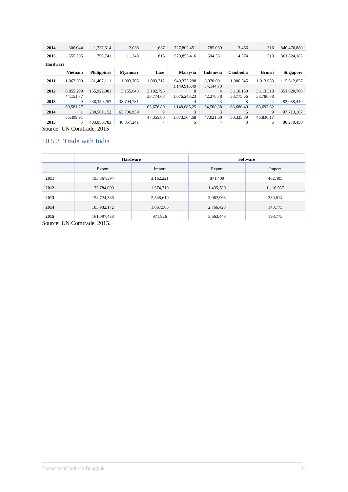| 2014            | 306,044        | 1.737.514          | 2.088          | 1,687     | 727,802,451   | 785,059          | 3,456     | 316           | 840,476,889      |
|-----------------|----------------|--------------------|----------------|-----------|---------------|------------------|-----------|---------------|------------------|
| 2015            | 555.305        | 756.741            | 11,348         | 815       | 579,856,416   | 694,361          | 4,374     | 519           | 861,824,185      |
| <b>Hardware</b> |                |                    |                |           |               |                  |           |               |                  |
|                 | <b>Vietnam</b> | <b>Philippines</b> | <b>Myanmar</b> | Laos      | Malaysia      | <b>Indonesia</b> | Cambodia  | <b>Brunei</b> | <b>Singapore</b> |
| 2011            | 1.067.390      | 81.407.111         | 1,003,705      | 1,003,312 | 949, 375, 298 | 8.970.001        | 1.006.545 | 1.013.053     | 115,612,837      |
|                 |                |                    |                |           | 1,149,915,49  | 34, 144, 73      |           |               |                  |
| 2012            | 6,855,299      | 155,922,981        | 3,155,643      | 3,102,796 | 8             | 4                | 3,110,139 | 3,113,518     | 351,020,700      |
|                 | 44.151.77      |                    |                | 38,774.68 | 1.076.243.23  | 42,378.78        | 38,775.66 | 38,780,88     |                  |
| 2013            | 9              | 238,350,257        | 38,794,781     |           | 4             |                  |           | 4             | 82,038,410       |
|                 | 69,581,27      |                    |                | 63,676,80 | 1,148,685,25  | 64.500.38        | 63,686,49 | 63,697,82     |                  |
| 2014            |                | 280,501,152        | 63,706,959     | 9         |               |                  | 6         | 9             | 97,713,167       |
|                 | 55,499,91      |                    |                | 47,355,80 | 1,073,564,68  | 47,021,60        | 50,335,89 | 46,830,17     |                  |
| 2015            | 5              | 403,056,783        | 46,857,241     |           |               |                  | 8         | 6             | 86,278,450       |

Source: UN Comtrade, 2015

#### <span id="page-23-0"></span>10.5.3 Trade with India

|      | <b>Hardware</b> |           | <b>Software</b> |           |  |
|------|-----------------|-----------|-----------------|-----------|--|
|      | Export          | Import    | Export          | Import    |  |
| 2011 | 193,367,394     | 3,162,221 | 871,409         | 462,495   |  |
| 2012 | 175,784,009     | 1,574,719 | 1,435,780       | 1,116,957 |  |
| 2013 | 154,724,386     | 2,548,619 | 3,062,963       | 389,814   |  |
| 2014 | 183,932,172     | 1,067,565 | 2,766,423       | 143,775   |  |
| 2015 | 161,097,438     | 971,926   | 3,663,448       | 198,773   |  |

Source: UN Comtrade, 2015.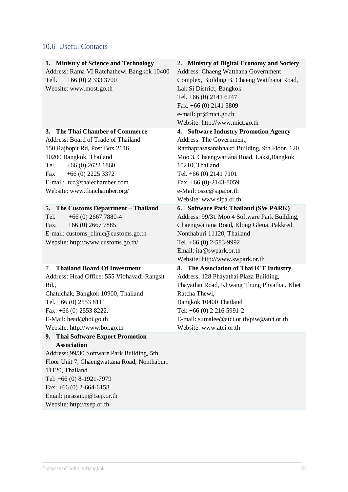## <span id="page-24-0"></span>10.6 Useful Contacts

| Address: Rama VI Ratchathewi Bangkok 10400<br>Address: Chaeng Watthana Government<br>Complex, Building B, Chaeng Watthana Road,<br>$+66(0)$ 2 333 3700<br>Tell.<br>Lak Si District, Bangkok<br>Website: www.most.go.th<br>Tel. +66 (0) 2141 6747<br>Fax. +66 (0) 2141 3809<br>e-mail: pr@mict.go.th<br>Website: http://www.mict.go.th<br>The Thai Chamber of Commerce<br>4. Software Industry Promotion Agency<br>3.<br>Address: The Government,<br>Address: Board of Trade of Thailand<br>Ratthaprasasanabhakti Building, 9th Floor, 120<br>150 Rajbopit Rd, Post Box 2146<br>10200 Bangkok, Thailand<br>Moo 3, Chaengwattana Road, Laksi, Bangkok<br>10210, Thailand.<br>$+66(0)$ 2622 1860<br>Tel.<br>$+66(0)$ 2225 3372<br>Tel. +66 (0) 2141 7101<br>Fax<br>E-mail: tcc@thaiechamber.com<br>Fax. $+66$ (0)-2143-8059<br>Website: www.thaichamber.org/<br>e-Mail: ossc@sipa.or.th<br>Website: www.sipa.or.th<br>6. Software Park Thailand (SW PARK)<br>5. The Customs Department - Thailand<br>Address: 99/31 Moo 4 Software Park Building,<br>$+66(0)$ 2667 7880-4<br>Tel.<br>Chaengwattana Road, Klong Gleua, Pakkred,<br>Fax.<br>$+66(0)$ 2667 7885<br>E-mail: customs_clinic@customs.go.th<br>Nonthaburi 11120, Thailand<br>Website: http://www.customs.go.th/<br>Tel. +66 (0) 2-583-9992<br>Email: ita@swpark.or.th<br>Website: http://www.swpark.or.th<br><b>Thailand Board Of Investment</b><br>8. The Association of Thai ICT Industry<br>7.<br>Address: 128 Phayathai Plaza Building,<br>Address: Head Office: 555 Vibhavadi-Rangsit<br>Phayathai Road, Khwang Thung Phyathai, Khet<br>Rd.,<br>Ratcha Thewi,<br>Chatuchak, Bangkok 10900, Thailand<br>Tel. +66 (0) 2553 8111<br>Bangkok 10400 Thailand<br>Tel: +66 (0) 2 216 5991-2<br>Fax: +66 (0) 2553 8222,<br>E-mail: sumalee@atci.or.th/piw@atci.or.th<br>E-Mail: head@boi.go.th<br>Website: http://www.boi.go.th<br>Website: www.atci.or.th<br><b>Thai Software Export Promotion</b><br>9.<br><b>Association</b><br>Address: 99/30 Software Park Building, 5th<br>Floor Unit 7, Chaengwattana Road, Nonthaburi<br>11120, Thailand.<br>Tel: +66 (0) 8-1921-7979<br>Fax: $+66$ (0) 2-664-6158<br>Email: pirasan.p@tsep.or.th<br>Website: http://tsep.or.th |                                       |                                            |
|----------------------------------------------------------------------------------------------------------------------------------------------------------------------------------------------------------------------------------------------------------------------------------------------------------------------------------------------------------------------------------------------------------------------------------------------------------------------------------------------------------------------------------------------------------------------------------------------------------------------------------------------------------------------------------------------------------------------------------------------------------------------------------------------------------------------------------------------------------------------------------------------------------------------------------------------------------------------------------------------------------------------------------------------------------------------------------------------------------------------------------------------------------------------------------------------------------------------------------------------------------------------------------------------------------------------------------------------------------------------------------------------------------------------------------------------------------------------------------------------------------------------------------------------------------------------------------------------------------------------------------------------------------------------------------------------------------------------------------------------------------------------------------------------------------------------------------------------------------------------------------------------------------------------------------------------------------------------------------------------------------------------------------------------------------------------------------------------------------------------------------------------------------------------------------------------------------------------------|---------------------------------------|--------------------------------------------|
|                                                                                                                                                                                                                                                                                                                                                                                                                                                                                                                                                                                                                                                                                                                                                                                                                                                                                                                                                                                                                                                                                                                                                                                                                                                                                                                                                                                                                                                                                                                                                                                                                                                                                                                                                                                                                                                                                                                                                                                                                                                                                                                                                                                                                            | 1. Ministry of Science and Technology | 2. Ministry of Digital Economy and Society |
|                                                                                                                                                                                                                                                                                                                                                                                                                                                                                                                                                                                                                                                                                                                                                                                                                                                                                                                                                                                                                                                                                                                                                                                                                                                                                                                                                                                                                                                                                                                                                                                                                                                                                                                                                                                                                                                                                                                                                                                                                                                                                                                                                                                                                            |                                       |                                            |
|                                                                                                                                                                                                                                                                                                                                                                                                                                                                                                                                                                                                                                                                                                                                                                                                                                                                                                                                                                                                                                                                                                                                                                                                                                                                                                                                                                                                                                                                                                                                                                                                                                                                                                                                                                                                                                                                                                                                                                                                                                                                                                                                                                                                                            |                                       |                                            |
|                                                                                                                                                                                                                                                                                                                                                                                                                                                                                                                                                                                                                                                                                                                                                                                                                                                                                                                                                                                                                                                                                                                                                                                                                                                                                                                                                                                                                                                                                                                                                                                                                                                                                                                                                                                                                                                                                                                                                                                                                                                                                                                                                                                                                            |                                       |                                            |
|                                                                                                                                                                                                                                                                                                                                                                                                                                                                                                                                                                                                                                                                                                                                                                                                                                                                                                                                                                                                                                                                                                                                                                                                                                                                                                                                                                                                                                                                                                                                                                                                                                                                                                                                                                                                                                                                                                                                                                                                                                                                                                                                                                                                                            |                                       |                                            |
|                                                                                                                                                                                                                                                                                                                                                                                                                                                                                                                                                                                                                                                                                                                                                                                                                                                                                                                                                                                                                                                                                                                                                                                                                                                                                                                                                                                                                                                                                                                                                                                                                                                                                                                                                                                                                                                                                                                                                                                                                                                                                                                                                                                                                            |                                       |                                            |
|                                                                                                                                                                                                                                                                                                                                                                                                                                                                                                                                                                                                                                                                                                                                                                                                                                                                                                                                                                                                                                                                                                                                                                                                                                                                                                                                                                                                                                                                                                                                                                                                                                                                                                                                                                                                                                                                                                                                                                                                                                                                                                                                                                                                                            |                                       |                                            |
|                                                                                                                                                                                                                                                                                                                                                                                                                                                                                                                                                                                                                                                                                                                                                                                                                                                                                                                                                                                                                                                                                                                                                                                                                                                                                                                                                                                                                                                                                                                                                                                                                                                                                                                                                                                                                                                                                                                                                                                                                                                                                                                                                                                                                            |                                       |                                            |
|                                                                                                                                                                                                                                                                                                                                                                                                                                                                                                                                                                                                                                                                                                                                                                                                                                                                                                                                                                                                                                                                                                                                                                                                                                                                                                                                                                                                                                                                                                                                                                                                                                                                                                                                                                                                                                                                                                                                                                                                                                                                                                                                                                                                                            |                                       |                                            |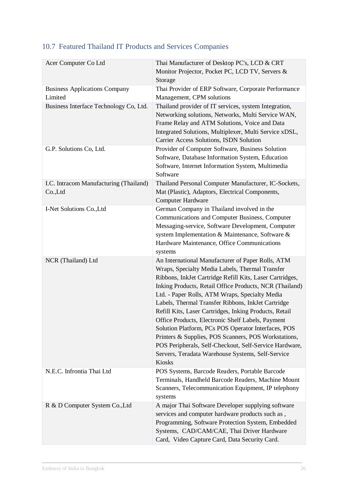| Acer Computer Co Ltd                                 | Thai Manufacturer of Desktop PC's, LCD & CRT<br>Monitor Projector, Pocket PC, LCD TV, Servers &                                                                                                                                                                                                                                                                                                                                                                                                                                                                                                                                                                                            |
|------------------------------------------------------|--------------------------------------------------------------------------------------------------------------------------------------------------------------------------------------------------------------------------------------------------------------------------------------------------------------------------------------------------------------------------------------------------------------------------------------------------------------------------------------------------------------------------------------------------------------------------------------------------------------------------------------------------------------------------------------------|
|                                                      | Storage                                                                                                                                                                                                                                                                                                                                                                                                                                                                                                                                                                                                                                                                                    |
| <b>Business Applications Company</b><br>Limited      | Thai Provider of ERP Software, Corporate Performance<br>Management, CPM solutions                                                                                                                                                                                                                                                                                                                                                                                                                                                                                                                                                                                                          |
| Business Interface Technology Co, Ltd.               | Thailand provider of IT services, system Integration,<br>Networking solutions, Networks, Multi Service WAN,<br>Frame Relay and ATM Solutions, Voice and Data<br>Integrated Solutions, Multiplexer, Multi Service xDSL,<br>Carrier Access Solutions, ISDN Solution                                                                                                                                                                                                                                                                                                                                                                                                                          |
| G.P. Solutions Co, Ltd.                              | Provider of Computer Software, Business Solution<br>Software, Database Information System, Education<br>Software, Internet Information System, Multimedia<br>Software                                                                                                                                                                                                                                                                                                                                                                                                                                                                                                                      |
| I.C. Intracom Manufacturing (Thailand)<br>$Co$ , Ltd | Thailand Personal Computer Manufacturer, IC-Sockets,<br>Mat (Plastic), Adaptors, Electrical Components,<br><b>Computer Hardware</b>                                                                                                                                                                                                                                                                                                                                                                                                                                                                                                                                                        |
| I-Net Solutions Co., Ltd                             | German Company in Thailand involved in the<br>Communications and Computer Business, Computer<br>Messaging-service, Software Development, Computer<br>system Implementation & Maintenance, Software &<br>Hardware Maintenance, Office Communications<br>systems                                                                                                                                                                                                                                                                                                                                                                                                                             |
| NCR (Thailand) Ltd                                   | An International Manufacturer of Paper Rolls, ATM<br>Wraps, Specialty Media Labels, Thermal Transfer<br>Ribbons, InkJet Cartridge Refill Kits, Laser Cartridges,<br>Inking Products, Retail Office Products, NCR (Thailand)<br>Ltd. - Paper Rolls, ATM Wraps, Specialty Media<br>Labels, Thermal Transfer Ribbons, InkJet Cartridge<br>Refill Kits, Laser Cartridges, Inking Products, Retail<br>Office Products, Electronic Shelf Labels, Payment<br>Solution Platform, PCs POS Operator Interfaces, POS<br>Printers & Supplies, POS Scanners, POS Workstations,<br>POS Peripherals, Self-Checkout, Self-Service Hardware,<br>Servers, Teradata Warehouse Systems, Self-Service<br>Kiosks |
| N.E.C. Infrontia Thai Ltd                            | POS Systems, Barcode Readers, Portable Barcode<br>Terminals, Handheld Barcode Readers, Machine Mount<br>Scanners, Telecommunication Equipment, IP telephony<br>systems                                                                                                                                                                                                                                                                                                                                                                                                                                                                                                                     |
| R & D Computer System Co., Ltd                       | A major Thai Software Developer supplying software<br>services and computer hardware products such as,<br>Programming, Software Protection System, Embedded<br>Systems, CAD/CAM/CAE, Thai Driver Hardware<br>Card, Video Capture Card, Data Security Card.                                                                                                                                                                                                                                                                                                                                                                                                                                 |

## <span id="page-25-0"></span>10.7 Featured Thailand IT Products and Services Companies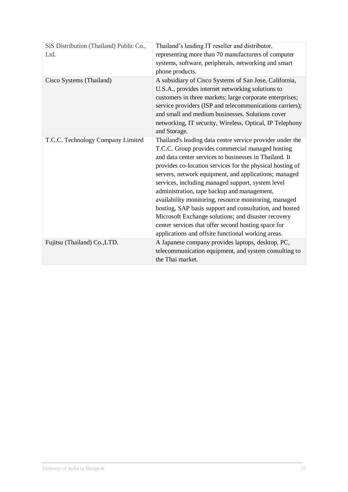| SiS Distribution (Thailand) Public Co.,<br>Ltd. | Thailand's leading IT reseller and distributor,<br>representing more than 70 manufacturers of computer<br>systems, software, peripherals, networking and smart<br>phone products.                                                                                                                                                                                                                                                                                                                                                                                                                                                                                                         |
|-------------------------------------------------|-------------------------------------------------------------------------------------------------------------------------------------------------------------------------------------------------------------------------------------------------------------------------------------------------------------------------------------------------------------------------------------------------------------------------------------------------------------------------------------------------------------------------------------------------------------------------------------------------------------------------------------------------------------------------------------------|
| Cisco Systems (Thailand)                        | A subsidiary of Cisco Systems of San Jose, California,<br>U.S.A., provides internet networking solutions to<br>customers in three markets: large corporate enterprises;<br>service providers (ISP and telecommunications carriers);<br>and small and medium businesses. Solutions cover<br>networking, IT security, Wireless, Optical, IP Telephony<br>and Storage.                                                                                                                                                                                                                                                                                                                       |
| T.C.C. Technology Company Limited               | Thailand's leading data centre service provider under the<br>T.C.C. Group provides commercial managed hosting<br>and data center services to businesses in Thailand. It<br>provides co-location services for the physical hosting of<br>servers, network equipment, and applications; managed<br>services, including managed support, system level<br>administration, tape backup and management,<br>availability monitoring, resource monitoring, managed<br>hosting, SAP basis support and consultation, and hosted<br>Microsoft Exchange solutions; and disaster recovery<br>center services that offer second hosting space for<br>applications and offsite functional working areas. |
| Fujitsu (Thailand) Co., LTD.                    | A Japanese company provides laptops, desktop, PC,<br>telecommunication equipment, and system consulting to<br>the Thai market.                                                                                                                                                                                                                                                                                                                                                                                                                                                                                                                                                            |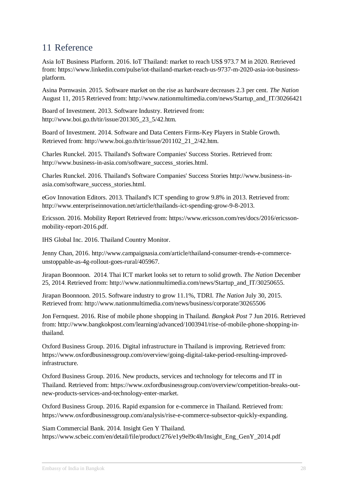## <span id="page-27-0"></span>11 Reference

Asia IoT Business Platform. 2016. IoT Thailand: market to reach US\$ 973.7 M in 2020. Retrieved from: https://www.linkedin.com/pulse/iot-thailand-market-reach-us-9737-m-2020-asia-iot-businessplatform.

Asina Pornwasin. 2015. Software market on the rise as hardware decreases 2.3 per cent. *The Nation* August 11, 2015 Retrieved from: http://www.nationmultimedia.com/news/Startup\_and\_IT/30266421

Board of Investment. 2013. Software Industry. Retrieved from: http://www.boi.go.th/tir/issue/201305\_23\_5/42.htm.

Board of Investment. 2014. Software and Data Centers Firms-Key Players in Stable Growth. Retrieved from: http://www.boi.go.th/tir/issue/201102\_21\_2/42.htm.

Charles Runckel. 2015. Thailand's Software Companies' Success Stories. Retrieved from: http://www.business-in-asia.com/software\_success\_stories.html.

Charles Runckel. 2016. Thailand's Software Companies' Success Stories http://www.business-inasia.com/software\_success\_stories.html.

eGov Innovation Editors. 2013. Thailand's ICT spending to grow 9.8% in 2013. Retrieved from: http://www.enterpriseinnovation.net/article/thailands-ict-spending-grow-9-8-2013.

Ericsson. 2016. Mobility Report Retrieved from: https://www.ericsson.com/res/docs/2016/ericssonmobility-report-2016.pdf.

IHS Global Inc. 2016. Thailand Country Monitor.

Jenny Chan, 2016. http://www.campaignasia.com/article/thailand-consumer-trends-e-commerceunstoppable-as-4g-rollout-goes-rural/405967.

Jirapan Boonnoon. 2014. Thai ICT market looks set to return to solid growth. *The Nation* December 25, 2014. Retrieved from: http://www.nationmultimedia.com/news/Startup\_and\_IT/30250655.

Jirapan Boonnoon. 2015. Software industry to grow 11.1%, TDRI. *The Nation* July 30, 2015. Retrieved from: http://www.nationmultimedia.com/news/business/corporate/30265506

Jon Fernquest. 2016. Rise of mobile phone shopping in Thailand. *Bangkok Post* 7 Jun 2016. Retrieved from: http://www.bangkokpost.com/learning/advanced/1003941/rise-of-mobile-phone-shopping-inthailand.

Oxford Business Group. 2016. Digital infrastructure in Thailand is improving. Retrieved from: https://www.oxfordbusinessgroup.com/overview/going-digital-take-period-resulting-improvedinfrastructure.

Oxford Business Group. 2016. New products, services and technology for telecoms and IT in Thailand. Retrieved from: https://www.oxfordbusinessgroup.com/overview/competition-breaks-outnew-products-services-and-technology-enter-market.

Oxford Business Group. 2016. Rapid expansion for e-commerce in Thailand. Retrieved from: https://www.oxfordbusinessgroup.com/analysis/rise-e-commerce-subsector-quickly-expanding.

Siam Commercial Bank. 2014. Insight Gen Y Thailand. https://www.scbeic.com/en/detail/file/product/276/e1y9el9c4h/Insight\_Eng\_GenY\_2014.pdf